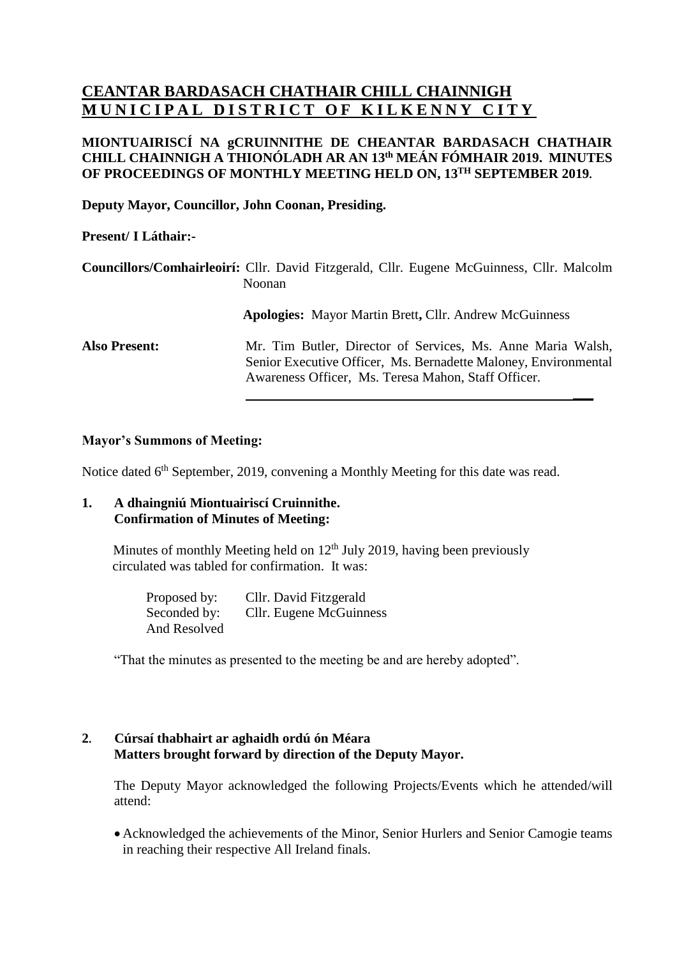# **CEANTAR BARDASACH CHATHAIR CHILL CHAINNIGH MUNICIPAL DISTRICT OF KILKENNY CITY**

# **MIONTUAIRISCÍ NA gCRUINNITHE DE CHEANTAR BARDASACH CHATHAIR CHILL CHAINNIGH A THIONÓLADH AR AN 13 th MEÁN FÓMHAIR 2019. MINUTES OF PROCEEDINGS OF MONTHLY MEETING HELD ON, 13 TH SEPTEMBER 2019.**

**Deputy Mayor, Councillor, John Coonan, Presiding.**

# **Present/ I Láthair:-**

|                      | Councillors/Comhairleoirí: Cllr. David Fitzgerald, Cllr. Eugene McGuinness, Cllr. Malcolm<br>Noonan                                                                                   |  |
|----------------------|---------------------------------------------------------------------------------------------------------------------------------------------------------------------------------------|--|
|                      | <b>Apologies:</b> Mayor Martin Brett, Cllr. Andrew McGuinness                                                                                                                         |  |
| <b>Also Present:</b> | Mr. Tim Butler, Director of Services, Ms. Anne Maria Walsh,<br>Senior Executive Officer, Ms. Bernadette Maloney, Environmental<br>Awareness Officer, Ms. Teresa Mahon, Staff Officer. |  |

### **Mayor's Summons of Meeting:**

Notice dated 6<sup>th</sup> September, 2019, convening a Monthly Meeting for this date was read.

# **1. A dhaingniú Miontuairiscí Cruinnithe. Confirmation of Minutes of Meeting:**

Minutes of monthly Meeting held on  $12<sup>th</sup>$  July 2019, having been previously circulated was tabled for confirmation. It was:

> Proposed by: Cllr. David Fitzgerald Seconded by: Cllr. Eugene McGuinness And Resolved

"That the minutes as presented to the meeting be and are hereby adopted".

# **2. Cúrsaí thabhairt ar aghaidh ordú ón Méara Matters brought forward by direction of the Deputy Mayor.**

The Deputy Mayor acknowledged the following Projects/Events which he attended/will attend:

• Acknowledged the achievements of the Minor, Senior Hurlers and Senior Camogie teams in reaching their respective All Ireland finals.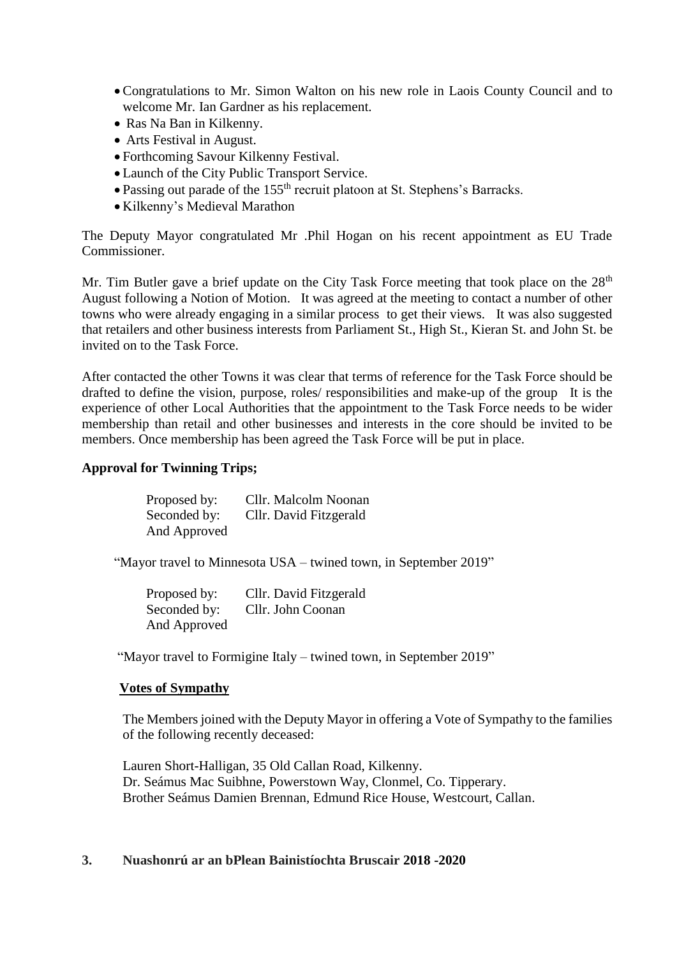- Congratulations to Mr. Simon Walton on his new role in Laois County Council and to welcome Mr. Ian Gardner as his replacement.
- Ras Na Ban in Kilkenny.
- Arts Festival in August.
- Forthcoming Savour Kilkenny Festival.
- Launch of the City Public Transport Service.
- Passing out parade of the 155<sup>th</sup> recruit platoon at St. Stephens's Barracks.
- Kilkenny's Medieval Marathon

The Deputy Mayor congratulated Mr .Phil Hogan on his recent appointment as EU Trade Commissioner.

Mr. Tim Butler gave a brief update on the City Task Force meeting that took place on the 28<sup>th</sup> August following a Notion of Motion. It was agreed at the meeting to contact a number of other towns who were already engaging in a similar process to get their views. It was also suggested that retailers and other business interests from Parliament St., High St., Kieran St. and John St. be invited on to the Task Force.

After contacted the other Towns it was clear that terms of reference for the Task Force should be drafted to define the vision, purpose, roles/ responsibilities and make-up of the group It is the experience of other Local Authorities that the appointment to the Task Force needs to be wider membership than retail and other businesses and interests in the core should be invited to be members. Once membership has been agreed the Task Force will be put in place.

# **Approval for Twinning Trips;**

| Proposed by: | Cllr. Malcolm Noonan   |
|--------------|------------------------|
| Seconded by: | Cllr. David Fitzgerald |
| And Approved |                        |

"Mayor travel to Minnesota USA – twined town, in September 2019"

Proposed by: Cllr. David Fitzgerald Seconded by: Cllr. John Coonan And Approved

"Mayor travel to Formigine Italy – twined town, in September 2019"

# **Votes of Sympathy**

The Members joined with the Deputy Mayor in offering a Vote of Sympathy to the families of the following recently deceased:

Lauren Short-Halligan, 35 Old Callan Road, Kilkenny. Dr. Seámus Mac Suibhne, Powerstown Way, Clonmel, Co. Tipperary. Brother Seámus Damien Brennan, Edmund Rice House, Westcourt, Callan.

#### **3. Nuashonrú ar an bPlean Bainistíochta Bruscair 2018 -2020**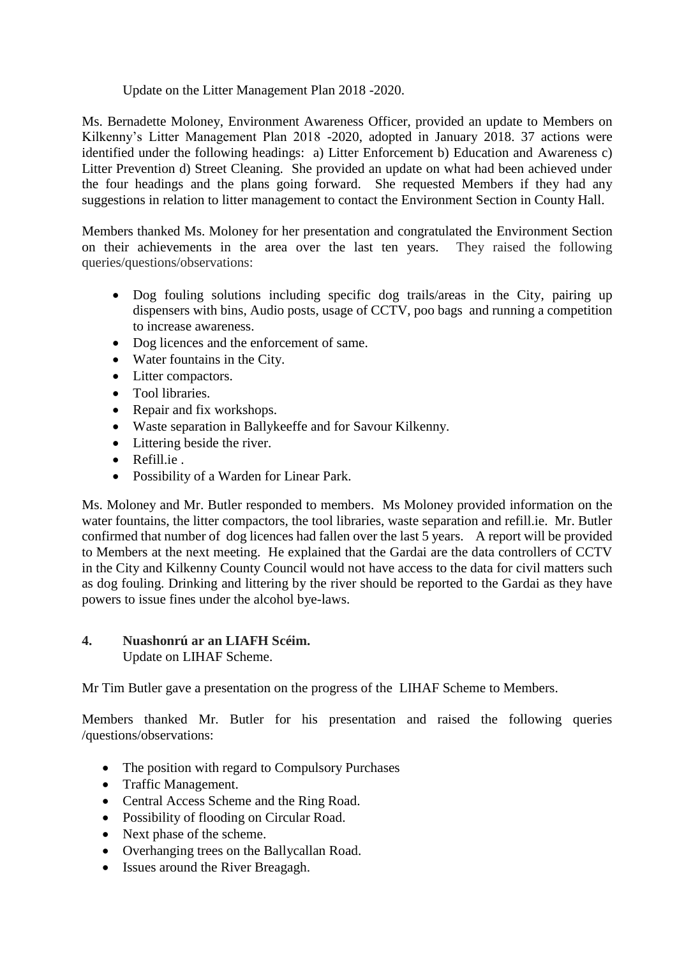# Update on the Litter Management Plan 2018 -2020.

Ms. Bernadette Moloney, Environment Awareness Officer, provided an update to Members on Kilkenny's Litter Management Plan 2018 -2020, adopted in January 2018. 37 actions were identified under the following headings: a) Litter Enforcement b) Education and Awareness c) Litter Prevention d) Street Cleaning. She provided an update on what had been achieved under the four headings and the plans going forward. She requested Members if they had any suggestions in relation to litter management to contact the Environment Section in County Hall.

Members thanked Ms. Moloney for her presentation and congratulated the Environment Section on their achievements in the area over the last ten years. They raised the following queries/questions/observations:

- Dog fouling solutions including specific dog trails/areas in the City, pairing up dispensers with bins, Audio posts, usage of CCTV, poo bags and running a competition to increase awareness.
- Dog licences and the enforcement of same.
- Water fountains in the City.
- Litter compactors.
- Tool libraries.
- Repair and fix workshops.
- Waste separation in Ballykeeffe and for Savour Kilkenny.
- Littering beside the river.
- Refill.ie .
- Possibility of a Warden for Linear Park.

Ms. Moloney and Mr. Butler responded to members. Ms Moloney provided information on the water fountains, the litter compactors, the tool libraries, waste separation and refill.ie. Mr. Butler confirmed that number of dog licences had fallen over the last 5 years. A report will be provided to Members at the next meeting. He explained that the Gardai are the data controllers of CCTV in the City and Kilkenny County Council would not have access to the data for civil matters such as dog fouling. Drinking and littering by the river should be reported to the Gardai as they have powers to issue fines under the alcohol bye-laws.

# **4. Nuashonrú ar an LIAFH Scéim.**  Update on LIHAF Scheme.

Mr Tim Butler gave a presentation on the progress of the LIHAF Scheme to Members.

Members thanked Mr. Butler for his presentation and raised the following queries /questions/observations:

- The position with regard to Compulsory Purchases
- Traffic Management.
- Central Access Scheme and the Ring Road.
- Possibility of flooding on Circular Road.
- Next phase of the scheme.
- Overhanging trees on the Ballycallan Road.
- Issues around the River Breagagh.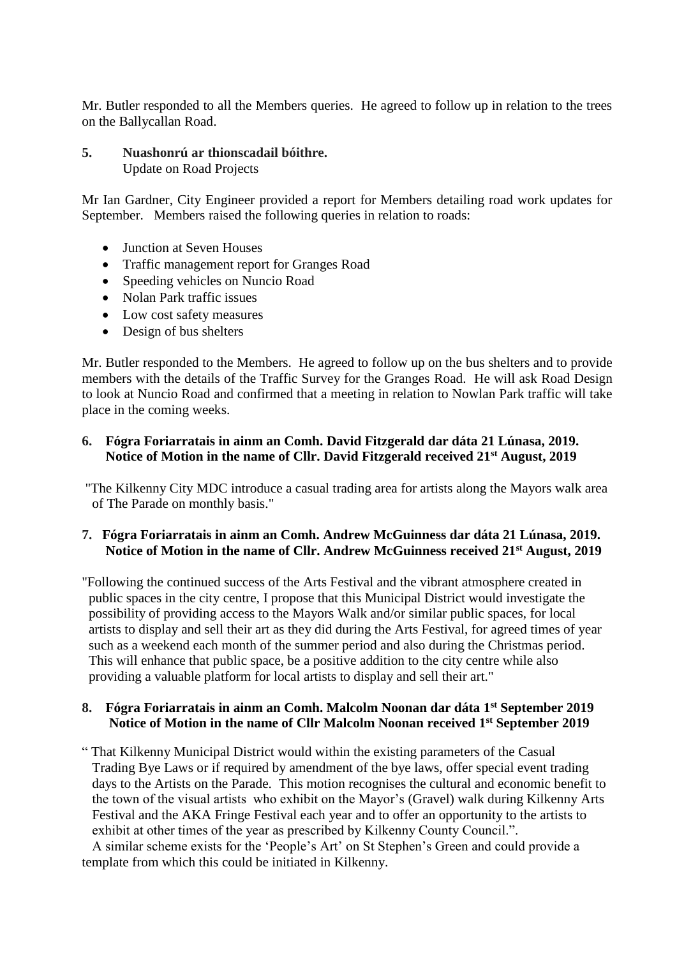Mr. Butler responded to all the Members queries. He agreed to follow up in relation to the trees on the Ballycallan Road.

# **5. Nuashonrú ar thionscadail bóithre.**  Update on Road Projects

Mr Ian Gardner, City Engineer provided a report for Members detailing road work updates for September. Members raised the following queries in relation to roads:

- Junction at Seven Houses
- Traffic management report for Granges Road
- Speeding vehicles on Nuncio Road
- Nolan Park traffic issues
- Low cost safety measures
- Design of bus shelters

Mr. Butler responded to the Members. He agreed to follow up on the bus shelters and to provide members with the details of the Traffic Survey for the Granges Road. He will ask Road Design to look at Nuncio Road and confirmed that a meeting in relation to Nowlan Park traffic will take place in the coming weeks.

# **6. Fógra Foriarratais in ainm an Comh. David Fitzgerald dar dáta 21 Lúnasa, 2019. Notice of Motion in the name of Cllr. David Fitzgerald received 21st August, 2019**

"The Kilkenny City MDC introduce a casual trading area for artists along the Mayors walk area of The Parade on monthly basis."

# **7. Fógra Foriarratais in ainm an Comh. Andrew McGuinness dar dáta 21 Lúnasa, 2019. Notice of Motion in the name of Cllr. Andrew McGuinness received 21st August, 2019**

"Following the continued success of the Arts Festival and the vibrant atmosphere created in public spaces in the city centre, I propose that this Municipal District would investigate the possibility of providing access to the Mayors Walk and/or similar public spaces, for local artists to display and sell their art as they did during the Arts Festival, for agreed times of year such as a weekend each month of the summer period and also during the Christmas period. This will enhance that public space, be a positive addition to the city centre while also providing a valuable platform for local artists to display and sell their art."

# **8. Fógra Foriarratais in ainm an Comh. Malcolm Noonan dar dáta 1st September 2019 Notice of Motion in the name of Cllr Malcolm Noonan received 1st September 2019**

" That Kilkenny Municipal District would within the existing parameters of the Casual Trading Bye Laws or if required by amendment of the bye laws, offer special event trading days to the Artists on the Parade. This motion recognises the cultural and economic benefit to the town of the visual artists who exhibit on the Mayor's (Gravel) walk during Kilkenny Arts Festival and the AKA Fringe Festival each year and to offer an opportunity to the artists to exhibit at other times of the year as prescribed by Kilkenny County Council.".

 A similar scheme exists for the 'People's Art' on St Stephen's Green and could provide a template from which this could be initiated in Kilkenny.